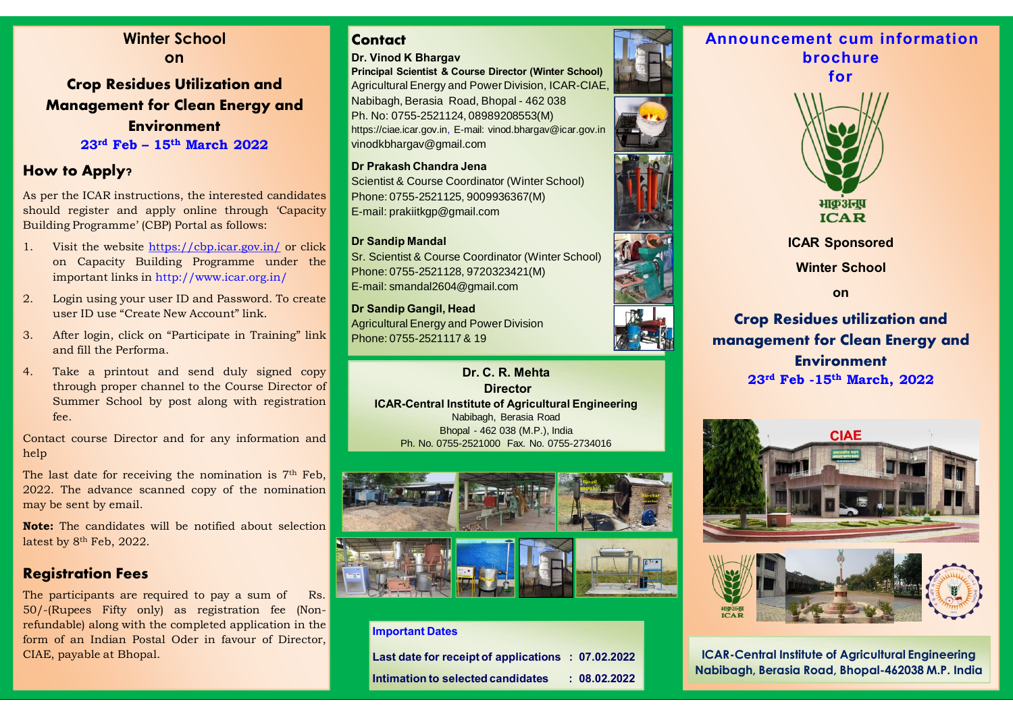**Winter School on Crop Residues Utilization and Management for Clean Energy and Environment**

**23rd Feb – 15th March 2022**

# **How to Apply?**

As per the ICAR instructions, the interested candidates should register and apply online through 'Capacity Building Programme' (CBP) Portal as follows:

- 1. Visit the website https://cbp.icar.gov.in/ or click on Capacity Building Programme under the important links in http://www.icar.org.in/
- 2. Login using your user ID and Password. To create user ID use "Create New Account" link.
- 3. After login, click on "Participate in Training" link and fill the Performa.
- 4. Take a printout and send duly signed copy through proper channel to the Course Director of Summer School by post along with registration fee.

Contact course Director and for any information and help

The last date for receiving the nomination is 7<sup>th</sup> Feb. 2022. The advance scanned copy of the nomination may be sent by email.

**Note:** The candidates will be notified about selection latest by 8<sup>th</sup> Feb, 2022.

## **Registration Fees**

The participants are required to pay a sum of Rs. 50/-(Rupees Fifty only) as registration fee (Nonrefundable) along with the completed application in the form of an Indian Postal Oder in favour of Director, CIAE, payable at Bhopal.

# **Contact**

#### **Dr. Vinod K Bhargav**

**Principal Scientist & Course Director (Winter School)** Agricultural Energy and Power Division, ICAR-CIAE, Nabibagh, Berasia Road, Bhopal - 462 038 Ph. No: 0755-2521124, 08989208553(M) https://ciae.icar.gov.in, E-mail: vinod.bhargav@icar.gov.in vinodkbhargav@gmail.com

#### **Dr Prakash Chandra Jena**

Scientist & Course Coordinator (Winter School) Phone: 0755-2521125, 9009936367(M) E-mail: prakiitkgp@gmail.com

#### **Dr Sandip Mandal**

Sr. Scientist & Course Coordinator (Winter School) Phone: 0755-2521128, 9720323421(M) E-mail: smandal2604@gmail.com

**Dr Sandip Gangil, Head** Agricultural Energy and Power Division Phone: 0755-2521117 & 19

> **Director ICAR-Central Institute of Agricultural Engineering** Nabibagh, Berasia Road Bhopal - 462 038 (M.P.), India Ph. No. 0755-2521000 Fax. No. 0755-2734016





#### **Important Dates**

**Last date for receipt of applications : 07.02.2022 Intimation to selected candidates : 08.02.2022**



# **Announcement cum information brochure**





**ICAR Sponsored** 

**Winter School**

**on**

**Crop Residues utilization and management for Clean Energy and Environment 23rd Feb -15th March, 2022 Dr. C. R. Mehta**





**ICAR-Central Institute of Agricultural Engineering Nabibagh, Berasia Road, Bhopal-462038 M.P. India**